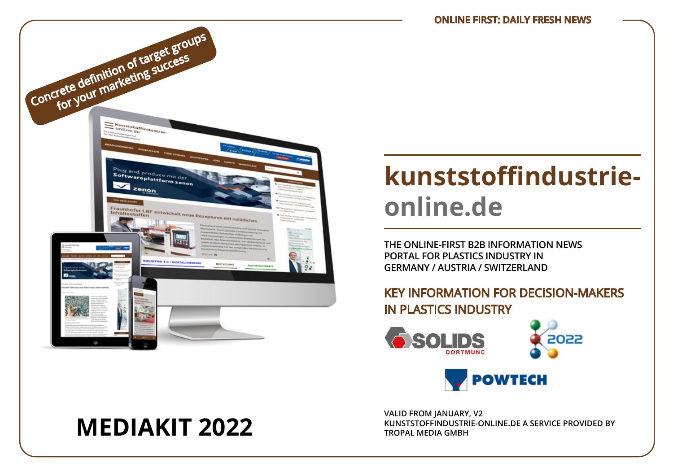

# **kunststoffindustrieonline.de**

**THE ONLINE-FIRST B2B INFORMATION NEWS PORTAL FOR PLASTICS INDUSTRY IN GERMANY / AUSTRIA / SWITZERLAND**

## KEY INFORMATION FOR DECISION-MAKERS IN PLASTICS INDUSTRY





**VALID FROM JANUARY, V2 MEDIAKIT 2022 WAS STOPFINDUSTRIE-ONLINE.DE A SERVICE PROVIDED BY**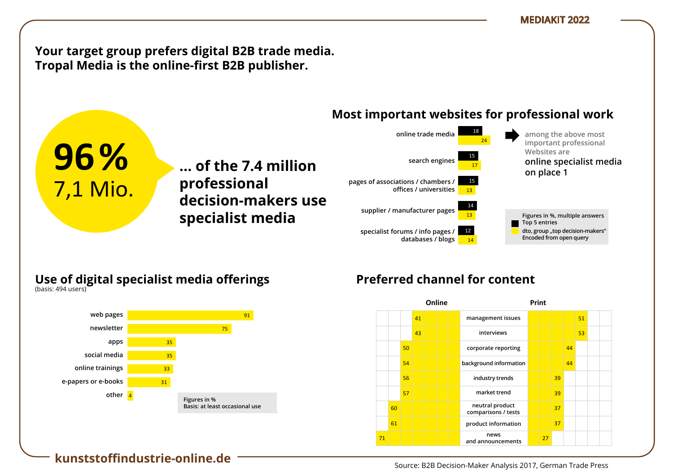**Your target group prefers digital B2B trade media.** Tropal Media is the online-first B2B publisher.

**… der 7,4 Mio. ... of the 7.4 million** 

**Entscheider**  80 **decision-makers use** 

**Professionellen professional** 

#### **Most important websites for professional work** vertreterninger instituten t websites for prof



### **Use of digital specialist media offerings** Nutzung digitaler Fachmedien-Angebote

**nutzung ließen Fachanden Specialist media**<br>Print-Nutzungsorte Fachzeitschriften

**B2B-Entscheides**<br>B2B-Bisse 2017, *B*2B-Bisse *B*  $(Na)$ sis.  $474$  users)

1 7,1 Mio.

am Arbeitsplatz

zu Hause

(Basis: 502 Nutzer)

(Basis: 494 Nutzer)

**96%**



## Preferred channel for content

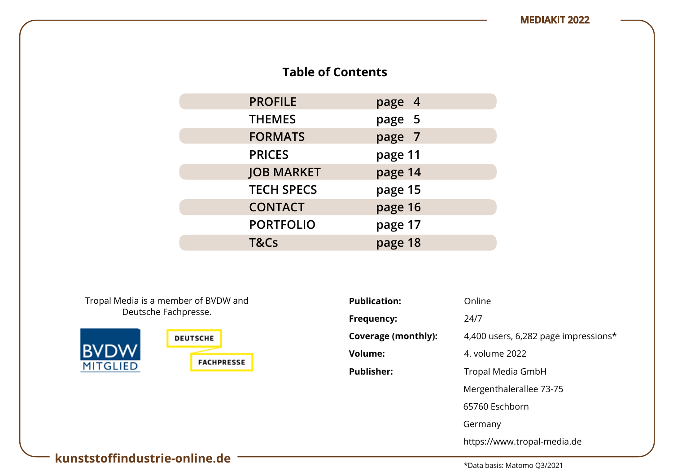## **Table of Contents**

| <b>PROFILE</b>    | page 4  |
|-------------------|---------|
| <b>THEMES</b>     | page 5  |
| <b>FORMATS</b>    | page 7  |
| <b>PRICES</b>     | page 11 |
| <b>JOB MARKET</b> | page 14 |
| <b>TECH SPECS</b> | page 15 |
| <b>CONTACT</b>    | page 16 |
| <b>PORTFOLIO</b>  | page 17 |
| T&Cs              | page 18 |

Tropal Media is a member of BVDW and Deutsche Fachpresse.



| <b>Publication:</b> | Online                               |
|---------------------|--------------------------------------|
| Frequency:          | 24/7                                 |
| Coverage (monthly): | 4,400 users, 6,282 page impressions* |
| <b>Volume:</b>      | 4. volume 2022                       |
| <b>Publisher:</b>   | Tropal Media GmbH                    |
|                     | Mergenthalerallee 73-75              |
|                     | 65760 Eschborn                       |
|                     | Germany                              |
|                     | https://www.tropal-media.de          |

## **kunststoffindustrie-online.de**

\*Data basis: Matomo Q3/2021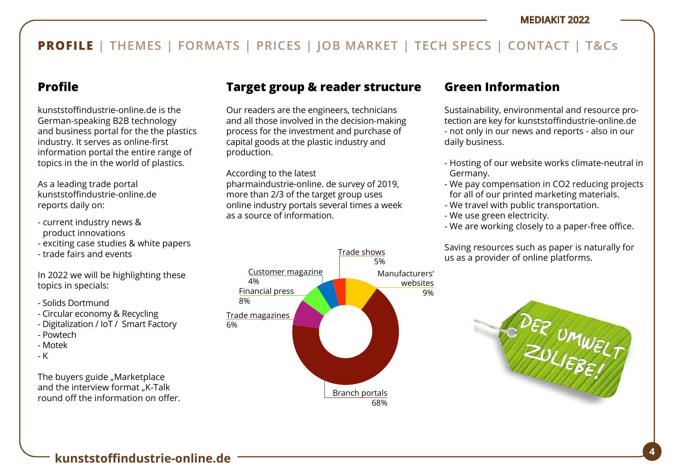## **PROFILE | THEMES | FORMATS | PRICES | JOB MARKET | TECH SPECS | CONTACT | T&Cs**

## **Profile**

kunststoffindustrie-online.de is the German-speaking B2B technology and business portal for the the plastics industry. It serves as online-first information portal the entire range of topics in the in the world of plastics.

As a leading trade portal kunststoffindustrie-online.de reports daily on:

- current industry news & product innovations
- exciting case studies & white papers
- trade fairs and events

In 2022 we will be highlighting these topics in specials:

- Solids Dortmund
- Circular economy & Recycling
- Digitalization / IoT / Smart Factory
- Powtech
- Motek
- K

The buvers guide "Marketplace and the interview format "K-Talk round off the information on offer.

## **Target group & reader structure**

Our readers are the engineers, technicians and all those involved in the decision-making process for the investment and purchase of capital goods at the plastic industry and production.

According to the latest

pharmaindustrie-online. de survey of 2019, more than 2/3 of the target group uses online industry portals several times a week as a source of information.



## **Green Information**

Sustainability, environmental and resource protection are key for kunststoffindustrie-online.de - not only in our news and reports - also in our daily business.

- Hosting of our website works climate-neutral in Germany.
- We pay compensation in CO2 reducing projects for all of our printed marketing materials.
- We travel with public transportation.
- We use green electricity.
- We are working closely to a paper-free office.

Saving resources such as paper is naturally for us as a provider of online platforms.

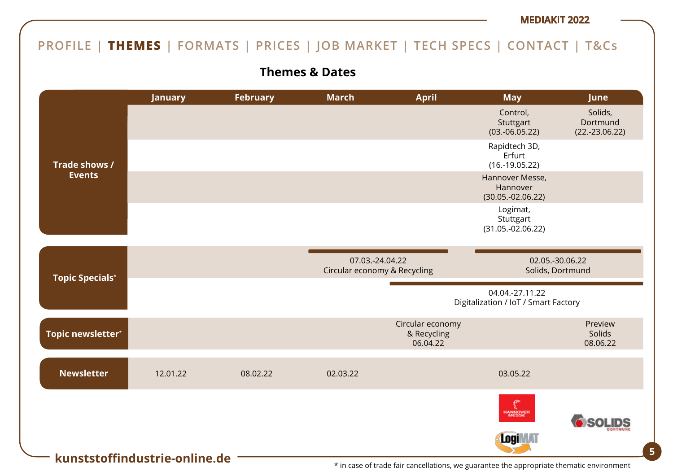## **PROFILE | THEMES | FORMATS | PRICES | JOB MARKET | TECH SPECS | CONTACT | T&Cs**

**Themes & Dates**



\* in case of trade fair cancellations, we guarantee the appropriate thematic environment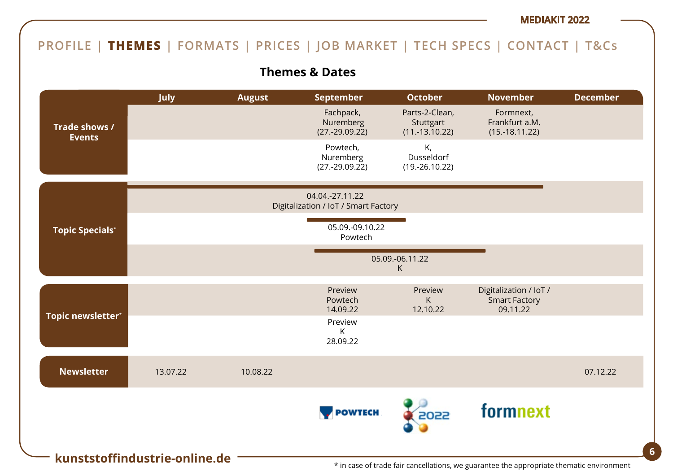## **PROFILE | THEMES | FORMATS | PRICES | JOB MARKET | TECH SPECS | CONTACT | T&Cs**

## **Themes & Dates**

|                                | July     | <b>August</b> | <b>September</b>                                        | <b>October</b>                                  | <b>November</b>                                            | <b>December</b> |
|--------------------------------|----------|---------------|---------------------------------------------------------|-------------------------------------------------|------------------------------------------------------------|-----------------|
| Trade shows /<br><b>Events</b> |          |               | Fachpack,<br>Nuremberg<br>$(27.-29.09.22)$              | Parts-2-Clean,<br>Stuttgart<br>$(11.-13.10.22)$ | Formnext,<br>Frankfurt a.M.<br>$(15.-18.11.22)$            |                 |
|                                |          |               | Powtech,<br>Nuremberg<br>$(27.-29.09.22)$               | К,<br>Dusseldorf<br>$(19.-26.10.22)$            |                                                            |                 |
|                                |          |               | 04.04.-27.11.22<br>Digitalization / IoT / Smart Factory |                                                 |                                                            |                 |
| <b>Topic Specials*</b>         |          |               | 05.09.-09.10.22<br>Powtech                              |                                                 |                                                            |                 |
|                                |          |               |                                                         | 05.09.-06.11.22<br>K                            |                                                            |                 |
|                                |          |               | Preview<br>Powtech<br>14.09.22                          | Preview<br>Κ<br>12.10.22                        | Digitalization / IoT /<br><b>Smart Factory</b><br>09.11.22 |                 |
| Topic newsletter*              |          |               | Preview<br>K<br>28.09.22                                |                                                 |                                                            |                 |
| <b>Newsletter</b>              | 13.07.22 | 10.08.22      |                                                         |                                                 |                                                            | 07.12.22        |
|                                |          |               | <b>POWTECH</b>                                          | 2022                                            | formnext                                                   |                 |
| kunststoffindustrie-online.de  |          |               |                                                         |                                                 |                                                            |                 |

\* in case of trade fair cancellations, we guarantee the appropriate thematic environment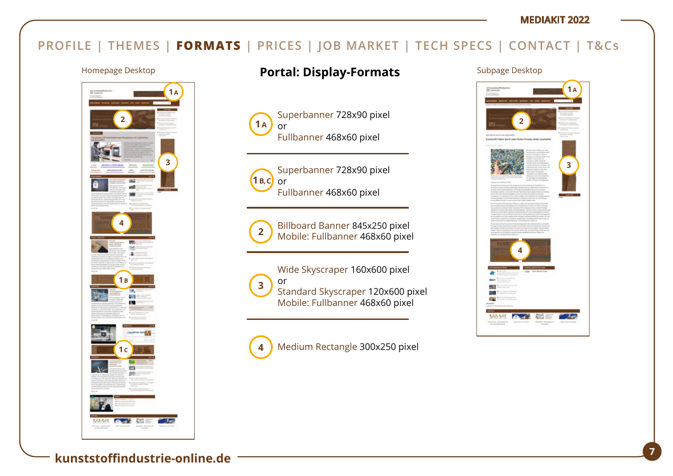## **PROFILE | THEMES | FORMATS | PRICES | JOB MARKET | TECH SPECS | CONTACT | T&Cs**



## Homepage Desktop **Portal: Display-Formats** Subpage Desktop

**2 2** Superbanner 728x90 pixel or Fullbanner 468x60 pixel **1 A**



Superbanner 728x90 pixel or Fullbanner 468x60 pixel



Billboard Banner 845x250 pixel Mobile: Fullbanner 468x60 pixel

Wide Skyscraper 160x600 pixel or Standard Skyscraper 120x600 pixel Mobile: Fullbanner 468x60 pixel **3**

Medium Rectangle 300x250 pixel **4**

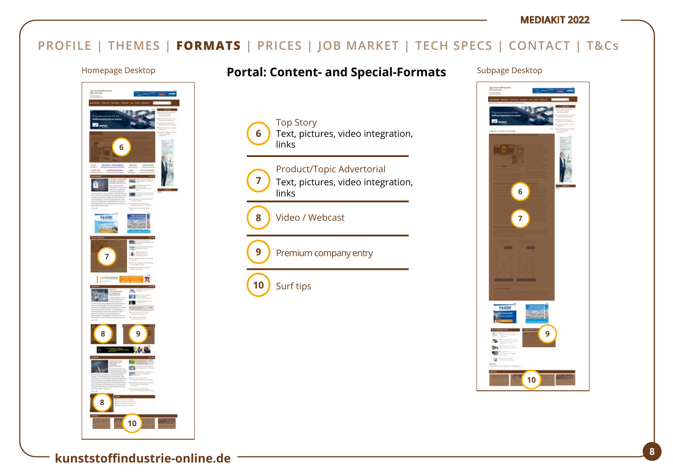## **PROFILE | THEMES | FORMATS | PRICES | JOB MARKET | TECH SPECS | CONTACT | T&Cs**

Top Story

links

**6**

**7**

**9**

**10**

**8**

links

Surf tips

Video / Webcast



# Homepage Desktop **Portal: Content- and Special-Formats** Subpage Desktop

Text, pictures, video integration,

Text, pictures, video integration,

Product/Topic Advertorial

Premium company entry

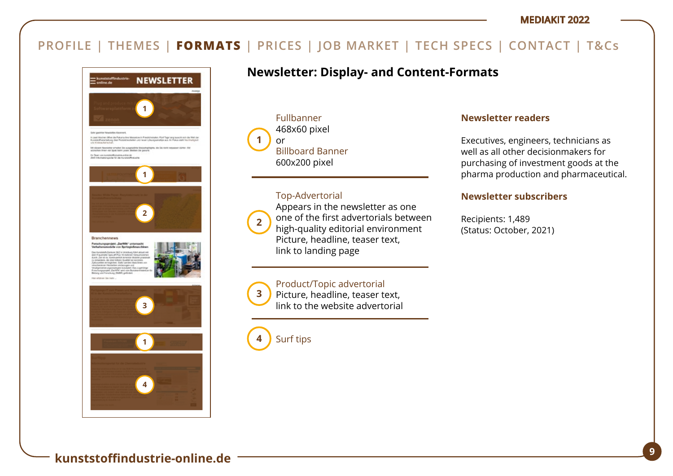

## **Newsletter: Display- and Content-Formats**

Fullbanner 468x60 pixel or Billboard Banner 600x200 pixel **1**

#### Top-Advertorial



**3**

Appears in the newsletter as one one of the first advertorials between high-quality editorial environment Picture, headline, teaser text, link to landing page

### Product/Topic advertorial

Picture, headline, teaser text, link to the website advertorial

Surf tips **4**

### **Newsletter readers**

Executives, engineers, technicians as well as all other decisionmakers for purchasing of investment goods at the pharma production and pharmaceutical.

### **Newsletter subscribers**

Recipients: 1,489 (Status: October, 2021)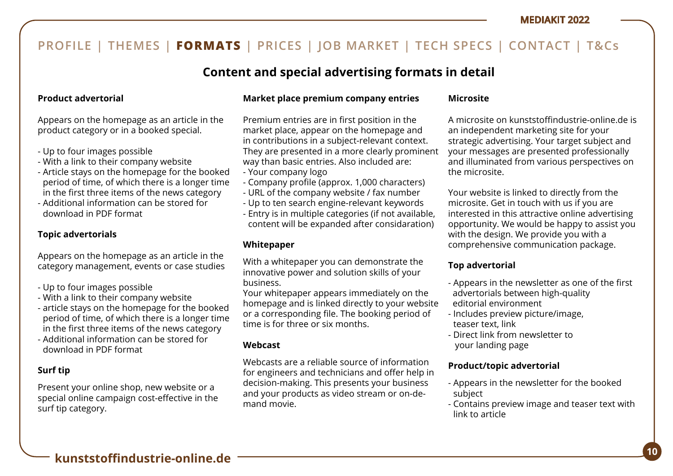## **Content and special advertising formats in detail**

### **Product advertorial**

Appears on the homepage as an article in the product category or in a booked special.

- Up to four images possible
- With a link to their company website
- Article stays on the homepage for the booked period of time, of which there is a longer time in the first three items of the news category
- Additional information can be stored for download in PDF format

### **Topic advertorials**

Appears on the homepage as an article in the category management, events or case studies

- Up to four images possible
- With a link to their company website
- article stays on the homepage for the booked period of time, of which there is a longer time in the first three items of the news category
- Additional information can be stored for download in PDF format

### **Surf tip**

Present your online shop, new website or a special online campaign cost-effective in the surf tip category.

### **Market place premium company entries**

Premium entries are in first position in the market place, appear on the homepage and in contributions in a subject-relevant context. They are presented in a more clearly prominent way than basic entries. Also included are:

- Your company logo
- Company profile (approx. 1,000 characters)
- URL of the company website / fax number
- Up to ten search engine-relevant keywords
- Entry is in multiple categories (if not available, content will be expanded after considaration)

### **Whitepaper**

With a whitepaper you can demonstrate the innovative power and solution skills of your business.

Your whitepaper appears immediately on the homepage and is linked directly to your website or a corresponding file. The booking period of time is for three or six months.

### **Webcast**

Webcasts are a reliable source of information for engineers and technicians and offer help in decision-making. This presents your business and your products as video stream or on-demand movie.

### **Microsite**

A microsite on kunststoffindustrie-online.de is an independent marketing site for your strategic advertising. Your target subject and your messages are presented professionally and illuminated from various perspectives on the microsite.

Your website is linked to directly from the microsite. Get in touch with us if you are interested in this attractive online advertising opportunity. We would be happy to assist you with the design. We provide you with a comprehensive communication package.

### **Top advertorial**

- Appears in the newsletter as one of the first advertorials between high-quality editorial environment
- Includes preview picture/image, teaser text, link
- Direct link from newsletter to your landing page

### **Product/topic advertorial**

- Appears in the newsletter for the booked subject
- Contains preview image and teaser text with link to article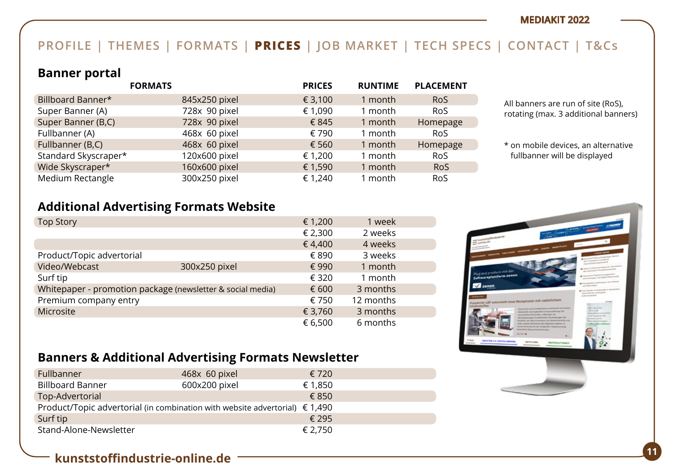## **PROFILE | THEMES | FORMATS | PRICES | JOB MARKET | TECH SPECS | CONTACT | T&Cs**

### **Banner portal**

|                      | <b>FORMATS</b> | <b>PRICES</b> | <b>RUNTIME</b> | <b>PLACEMENT</b> |
|----------------------|----------------|---------------|----------------|------------------|
| Billboard Banner*    | 845x250 pixel  | € 3,100       | 1 month        | <b>RoS</b>       |
| Super Banner (A)     | 728x 90 pixel  | € 1,090       | 1 month        | <b>RoS</b>       |
| Super Banner (B,C)   | 728x 90 pixel  | € 845         | 1 month        | Homepage         |
| Fullbanner (A)       | 468x 60 pixel  | € 790         | 1 month        | <b>RoS</b>       |
| Fullbanner (B,C)     | 468x 60 pixel  | € 560         | 1 month        | Homepage         |
| Standard Skyscraper* | 120x600 pixel  | € 1,200       | 1 month        | <b>RoS</b>       |
| Wide Skyscraper*     | 160x600 pixel  | € 1,590       | 1 month        | <b>RoS</b>       |
| Medium Rectangle     | 300x250 pixel  | € 1,240       | 1 month        | <b>RoS</b>       |

All banners are run of site (RoS), rotating (max. 3 additional banners)

\* on mobile devices, an alternative fullbanner will be displayed

## **Additional Advertising Formats Website**

| <b>Top Story</b>          |                                                            | € 1,200 | 1 week    |  |
|---------------------------|------------------------------------------------------------|---------|-----------|--|
|                           |                                                            | € 2,300 | 2 weeks   |  |
|                           |                                                            | €4,400  | 4 weeks   |  |
| Product/Topic advertorial |                                                            | € 890   | 3 weeks   |  |
| Video/Webcast             | 300x250 pixel                                              | € 990   | 1 month   |  |
| Surf tip                  |                                                            | € 320   | 1 month   |  |
|                           | Whitepaper - promotion package (newsletter & social media) | € 600   | 3 months  |  |
| Premium company entry     |                                                            | € 750   | 12 months |  |
| Microsite                 |                                                            | € 3,760 | 3 months  |  |
|                           |                                                            | € 6,500 | 6 months  |  |



## **Banners & Additional Advertising Formats Newsletter**

| Fullbanner                                                                           | 468x 60 pixel | € 720   |
|--------------------------------------------------------------------------------------|---------------|---------|
| <b>Billboard Banner</b>                                                              | 600x200 pixel | € 1,850 |
| Top-Advertorial                                                                      |               | €850    |
| Product/Topic advertorial (in combination with website advertorial) $\epsilon$ 1,490 |               |         |
| Surf tip                                                                             |               | € 295   |
| Stand-Alone-Newsletter                                                               |               | € 2,750 |

## **<sup>11</sup> kunststoffindustrie-online.de**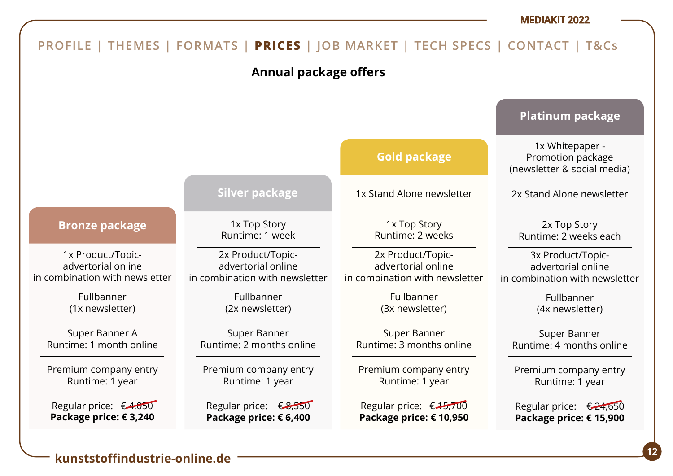

### **<sup>12</sup> kunststoffindustrie-online.de**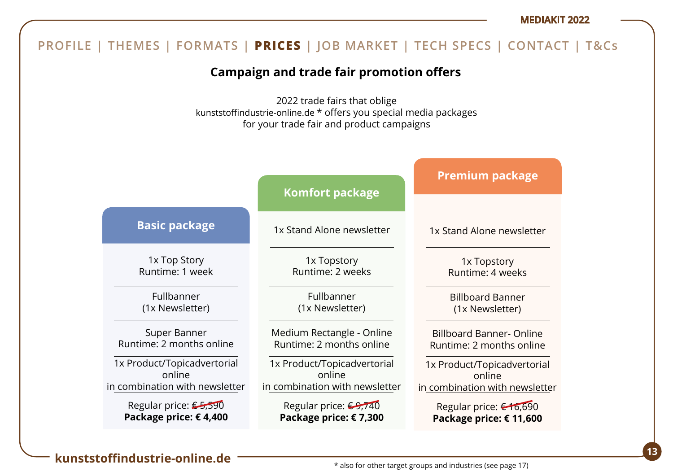#### 1x Top Story Runtime: 1 week Fullbanner (1x Newsletter) Super Banner Runtime: 2 months online 1x Product/Topicadvertorial online in combination with newsletter Regular price: €5,590 **Package price: € 4,400 Basic package** 1x Stand Alone newsletter 1x Topstory Runtime: 2 weeks Fullbanner (1x Newsletter) Medium Rectangle - Online Runtime: 2 months online 1x Product/Topicadvertorial online in combination with newsletter Regular price: <del>€9,740</del> **Package price: € 7,300 Komfort package** 1x Stand Alone newsletter 1x Topstory Runtime: 4 weeks Billboard Banner (1x Newsletter) Billboard Banner- Online Runtime: 2 months online 1x Product/Topicadvertorial online in combination with newsletter Regular price: € 16,690 **Package price: € 11,600 Premium package Campaign and trade fair promotion offers** 2022 trade fairs that oblige kunststoffindustrie-online.de \* offers you special media packages for your trade fair and product campaigns **PROFILE | THEMES | FORMATS | PRICES | JOB MARKET | TECH SPECS | CONTACT | T&Cs**

## **<sup>13</sup> kunststoffindustrie-online.de**

#### \* also for other target groups and industries (see page 17)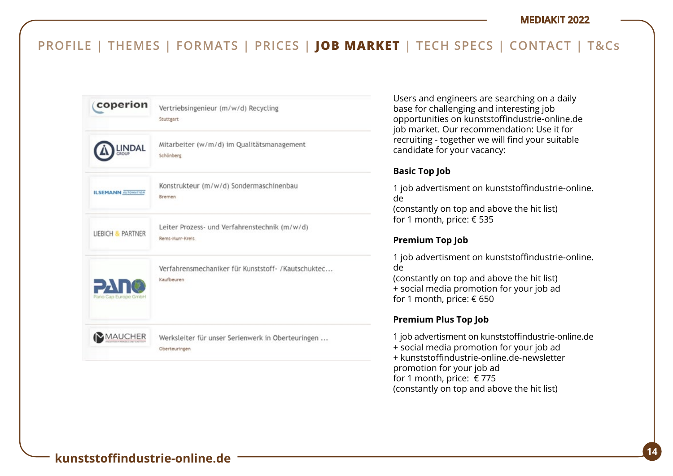

Users and engineers are searching on a daily base for challenging and interesting job opportunities on kunststoffindustrie-online.de job market. Our recommendation: Use it for recruiting - together we will find your suitable candidate for your vacancy:

### **Basic Top Job**

1 job advertisment on kunststoffindustrie-online. de (constantly on top and above the hit list) for 1 month, price: € 535

### **Premium Top Job**

1 job advertisment on kunststoffindustrie-online. de (constantly on top and above the hit list) + social media promotion for your job ad for 1 month, price: € 650

### **Premium Plus Top Job**

1 job advertisment on kunststoffindustrie-online.de + social media promotion for your job ad + kunststoffindustrie-online.de-newsletter promotion for your job ad for 1 month, price:  $\epsilon$  775 (constantly on top and above the hit list)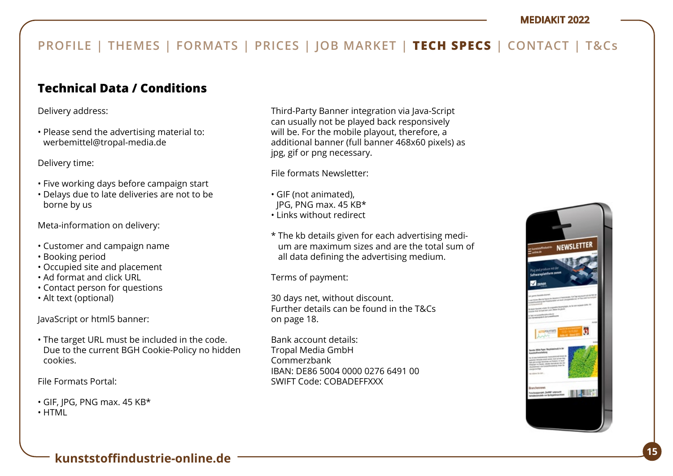## **Technical Data / Conditions**

Delivery address:

• Please send the advertising material to: werbemittel@tropal-media.de

Delivery time:

- Five working days before campaign start
- Delays due to late deliveries are not to be borne by us

Meta-information on delivery:

- Customer and campaign name
- Booking period
- Occupied site and placement
- Ad format and click URL
- Contact person for questions
- Alt text (optional)

JavaScript or html5 banner:

• The target URL must be included in the code. Due to the current BGH Cookie-Policy no hidden cookies.

File Formats Portal:

• GIF, JPG, PNG max. 45 KB\*

• HTML

Third-Party Banner integration via Java-Script can usually not be played back responsively will be. For the mobile playout, therefore, a additional banner (full banner 468x60 pixels) as jpg, gif or png necessary.

File formats Newsletter:

- GIF (not animated),
- JPG, PNG max. 45 KB\*
- Links without redirect
- \* The kb details given for each advertising medium are maximum sizes and are the total sum of all data defining the advertising medium.

Terms of payment:

30 days net, without discount. Further details can be found in the T&Cs on page 18.

Bank account details: Tropal Media GmbH Commerzbank IBAN: DE86 5004 0000 0276 6491 00 SWIFT Code: COBADEFFXXX

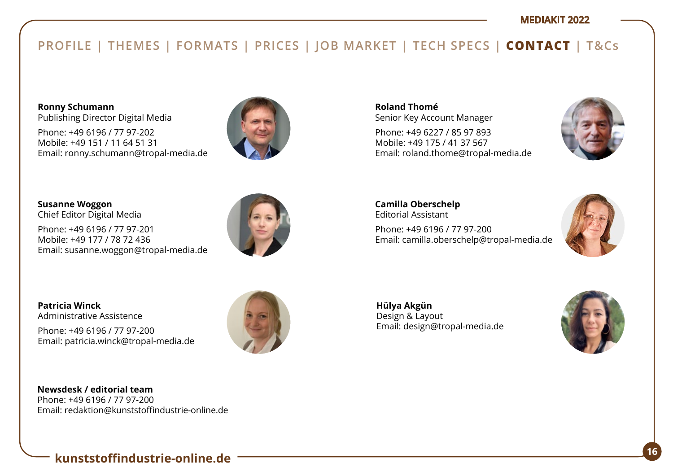## **PROFILE | THEMES | FORMATS | PRICES | JOB MARKET | TECH SPECS | CONTACT | T&Cs**

**Ronny Schumann**  Publishing Director Digital Media

Phone: +49 6196 / 77 97-202 Mobile: +49 151 / 11 64 51 31 Email: ronny.schumann@tropal-media.de



**Susanne Woggon**  Chief Editor Digital Media

Phone: +49 6196 / 77 97-201 Mobile: +49 177 / 78 72 436 Email: susanne.woggon@tropal-media.de



**Patricia Winck** Administrative Assistence

Phone: +49 6196 / 77 97-200 Email: patricia.winck@tropal-media.de

**Newsdesk / editorial team** Phone: +49 6196 / 77 97-200 Email: redaktion@kunststoffindustrie-online.de **Roland Thomé** Senior Key Account Manager

Phone: +49 6227 / 85 97 893 Mobile: +49 175 / 41 37 567 Email: roland.thome@tropal-media.de



**Camilla Oberschelp** Editorial Assistant Phone: +49 6196 / 77 97-200 Email: camilla.oberschelp@tropal-media.de



**Hülya Akgün**  Design & Layout Email: design@tropal-media.de



**<sup>16</sup> kunststoffindustrie-online.de**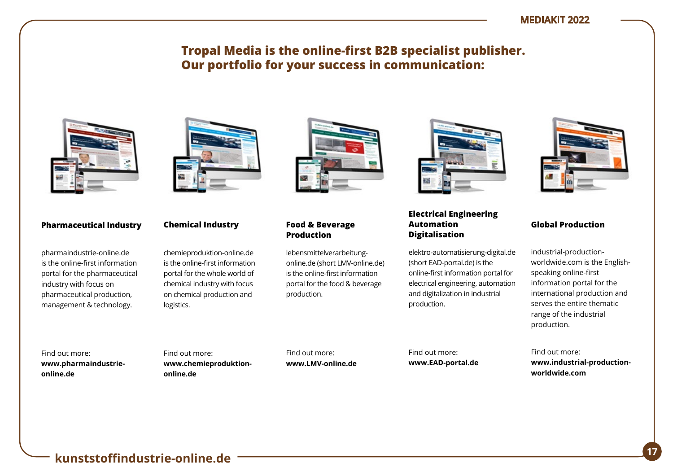## **Tropal Media is the online-first B2B specialist publisher. Our portfolio for your success in communication:**



#### **Pharmaceutical Industry**

pharmaindustrie-online.de is the online-first information portal for the pharmaceutical industry with focus on pharmaceutical production, management & technology.



#### **Chemical Industry**

chemieproduktion-online.de is the online-first information portal for the whole world of chemical industry with focus on chemical production and logistics.



#### **Food & Beverage Production**

lebensmittelverarbeitungonline.de (short LMV-online.de) is the online-first information portal for the food & beverage production.



#### **Electrical Engineering Automation Digitalisation**

elektro-automatisierung-digital.de (short EAD-portal.de) is the online-first information portal for electrical engineering, automation and digitalization in industrial production.



#### **Global Production**

industrial-productionworldwide.com is the Englishspeaking online-first information portal for the international production and serves the entire thematic range of the industrial production.

Find out more: **www.pharmaindustrieonline.de**

Find out more: **www.chemieproduktiononline.de**

Find out more: **www.LMV-online.de** Find out more: **www.EAD-portal.de**

Find out more: **www.industrial-productionworldwide.com**